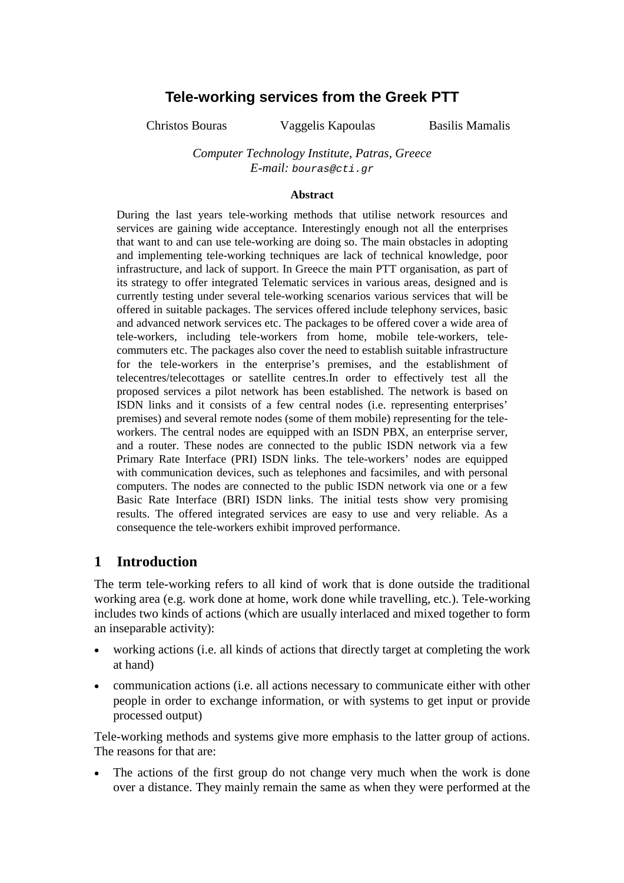# **Tele-working services from the Greek PTT**

Christos Bouras Vaggelis Kapoulas Basilis Mamalis

#### *Computer Technology Institute, Patras, Greece E-mail:* bouras@cti.gr

#### **Abstract**

During the last years tele-working methods that utilise network resources and services are gaining wide acceptance. Interestingly enough not all the enterprises that want to and can use tele-working are doing so. The main obstacles in adopting and implementing tele-working techniques are lack of technical knowledge, poor infrastructure, and lack of support. In Greece the main PTT organisation, as part of its strategy to offer integrated Telematic services in various areas, designed and is currently testing under several tele-working scenarios various services that will be offered in suitable packages. The services offered include telephony services, basic and advanced network services etc. The packages to be offered cover a wide area of tele-workers, including tele-workers from home, mobile tele-workers, telecommuters etc. The packages also cover the need to establish suitable infrastructure for the tele-workers in the enterprise's premises, and the establishment of telecentres/telecottages or satellite centres.In order to effectively test all the proposed services a pilot network has been established. The network is based on ISDN links and it consists of a few central nodes (i.e. representing enterprises' premises) and several remote nodes (some of them mobile) representing for the teleworkers. The central nodes are equipped with an ISDN PBX, an enterprise server, and a router. These nodes are connected to the public ISDN network via a few Primary Rate Interface (PRI) ISDN links. The tele-workers' nodes are equipped with communication devices, such as telephones and facsimiles, and with personal computers. The nodes are connected to the public ISDN network via one or a few Basic Rate Interface (BRI) ISDN links. The initial tests show very promising results. The offered integrated services are easy to use and very reliable. As a consequence the tele-workers exhibit improved performance.

#### **1 Introduction**

The term tele-working refers to all kind of work that is done outside the traditional working area (e.g. work done at home, work done while travelling, etc.). Tele-working includes two kinds of actions (which are usually interlaced and mixed together to form an inseparable activity):

- working actions (i.e. all kinds of actions that directly target at completing the work at hand)
- communication actions (i.e. all actions necessary to communicate either with other people in order to exchange information, or with systems to get input or provide processed output)

Tele-working methods and systems give more emphasis to the latter group of actions. The reasons for that are:

• The actions of the first group do not change very much when the work is done over a distance. They mainly remain the same as when they were performed at the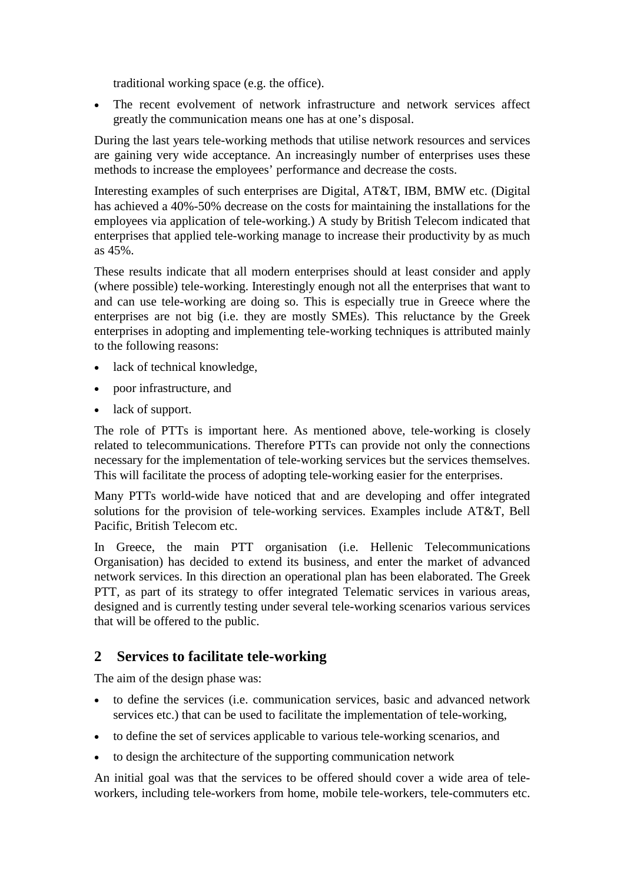traditional working space (e.g. the office).

• The recent evolvement of network infrastructure and network services affect greatly the communication means one has at one's disposal.

During the last years tele-working methods that utilise network resources and services are gaining very wide acceptance. An increasingly number of enterprises uses these methods to increase the employees' performance and decrease the costs.

Interesting examples of such enterprises are Digital, AT&T, IBM, BMW etc. (Digital has achieved a 40%-50% decrease on the costs for maintaining the installations for the employees via application of tele-working.) A study by British Telecom indicated that enterprises that applied tele-working manage to increase their productivity by as much as 45%.

These results indicate that all modern enterprises should at least consider and apply (where possible) tele-working. Interestingly enough not all the enterprises that want to and can use tele-working are doing so. This is especially true in Greece where the enterprises are not big (i.e. they are mostly SMEs). This reluctance by the Greek enterprises in adopting and implementing tele-working techniques is attributed mainly to the following reasons:

- lack of technical knowledge,
- poor infrastructure, and
- lack of support.

The role of PTTs is important here. As mentioned above, tele-working is closely related to telecommunications. Therefore PTTs can provide not only the connections necessary for the implementation of tele-working services but the services themselves. This will facilitate the process of adopting tele-working easier for the enterprises.

Many PTTs world-wide have noticed that and are developing and offer integrated solutions for the provision of tele-working services. Examples include AT&T, Bell Pacific, British Telecom etc.

In Greece, the main PTT organisation (i.e. Hellenic Telecommunications Organisation) has decided to extend its business, and enter the market of advanced network services. In this direction an operational plan has been elaborated. The Greek PTT, as part of its strategy to offer integrated Telematic services in various areas, designed and is currently testing under several tele-working scenarios various services that will be offered to the public.

#### **2 Services to facilitate tele-working**

The aim of the design phase was:

- to define the services (i.e. communication services, basic and advanced network services etc.) that can be used to facilitate the implementation of tele-working,
- to define the set of services applicable to various tele-working scenarios, and
- to design the architecture of the supporting communication network

An initial goal was that the services to be offered should cover a wide area of teleworkers, including tele-workers from home, mobile tele-workers, tele-commuters etc.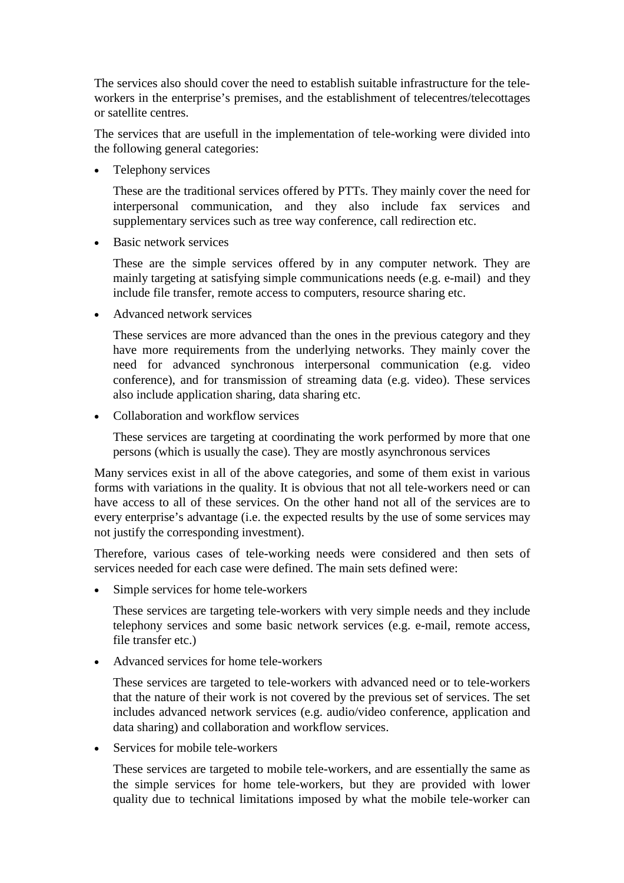The services also should cover the need to establish suitable infrastructure for the teleworkers in the enterprise's premises, and the establishment of telecentres/telecottages or satellite centres.

The services that are usefull in the implementation of tele-working were divided into the following general categories:

• Telephony services

These are the traditional services offered by PTTs. They mainly cover the need for interpersonal communication, and they also include fax services and supplementary services such as tree way conference, call redirection etc.

• Basic network services

These are the simple services offered by in any computer network. They are mainly targeting at satisfying simple communications needs (e.g. e-mail) and they include file transfer, remote access to computers, resource sharing etc.

• Advanced network services

These services are more advanced than the ones in the previous category and they have more requirements from the underlying networks. They mainly cover the need for advanced synchronous interpersonal communication (e.g. video conference), and for transmission of streaming data (e.g. video). These services also include application sharing, data sharing etc.

• Collaboration and workflow services

These services are targeting at coordinating the work performed by more that one persons (which is usually the case). They are mostly asynchronous services

Many services exist in all of the above categories, and some of them exist in various forms with variations in the quality. It is obvious that not all tele-workers need or can have access to all of these services. On the other hand not all of the services are to every enterprise's advantage (i.e. the expected results by the use of some services may not justify the corresponding investment).

Therefore, various cases of tele-working needs were considered and then sets of services needed for each case were defined. The main sets defined were:

• Simple services for home tele-workers

These services are targeting tele-workers with very simple needs and they include telephony services and some basic network services (e.g. e-mail, remote access, file transfer etc.)

• Advanced services for home tele-workers

These services are targeted to tele-workers with advanced need or to tele-workers that the nature of their work is not covered by the previous set of services. The set includes advanced network services (e.g. audio/video conference, application and data sharing) and collaboration and workflow services.

• Services for mobile tele-workers

These services are targeted to mobile tele-workers, and are essentially the same as the simple services for home tele-workers, but they are provided with lower quality due to technical limitations imposed by what the mobile tele-worker can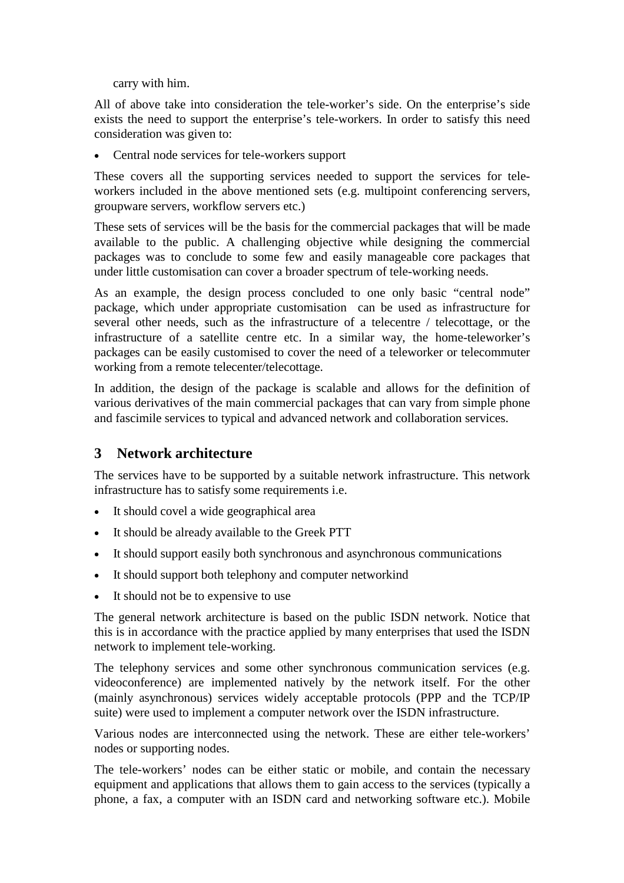carry with him.

All of above take into consideration the tele-worker's side. On the enterprise's side exists the need to support the enterprise's tele-workers. In order to satisfy this need consideration was given to:

• Central node services for tele-workers support

These covers all the supporting services needed to support the services for teleworkers included in the above mentioned sets (e.g. multipoint conferencing servers, groupware servers, workflow servers etc.)

These sets of services will be the basis for the commercial packages that will be made available to the public. A challenging objective while designing the commercial packages was to conclude to some few and easily manageable core packages that under little customisation can cover a broader spectrum of tele-working needs.

As an example, the design process concluded to one only basic "central node" package, which under appropriate customisation can be used as infrastructure for several other needs, such as the infrastructure of a telecentre / telecottage, or the infrastructure of a satellite centre etc. In a similar way, the home-teleworker's packages can be easily customised to cover the need of a teleworker or telecommuter working from a remote telecenter/telecottage.

In addition, the design of the package is scalable and allows for the definition of various derivatives of the main commercial packages that can vary from simple phone and fascimile services to typical and advanced network and collaboration services.

## **3 Network architecture**

The services have to be supported by a suitable network infrastructure. This network infrastructure has to satisfy some requirements i.e.

- It should covel a wide geographical area
- It should be already available to the Greek PTT
- It should support easily both synchronous and asynchronous communications
- It should support both telephony and computer networkind
- It should not be to expensive to use

The general network architecture is based on the public ISDN network. Notice that this is in accordance with the practice applied by many enterprises that used the ISDN network to implement tele-working.

The telephony services and some other synchronous communication services (e.g. videoconference) are implemented natively by the network itself. For the other (mainly asynchronous) services widely acceptable protocols (PPP and the TCP/IP suite) were used to implement a computer network over the ISDN infrastructure.

Various nodes are interconnected using the network. These are either tele-workers' nodes or supporting nodes.

The tele-workers' nodes can be either static or mobile, and contain the necessary equipment and applications that allows them to gain access to the services (typically a phone, a fax, a computer with an ISDN card and networking software etc.). Mobile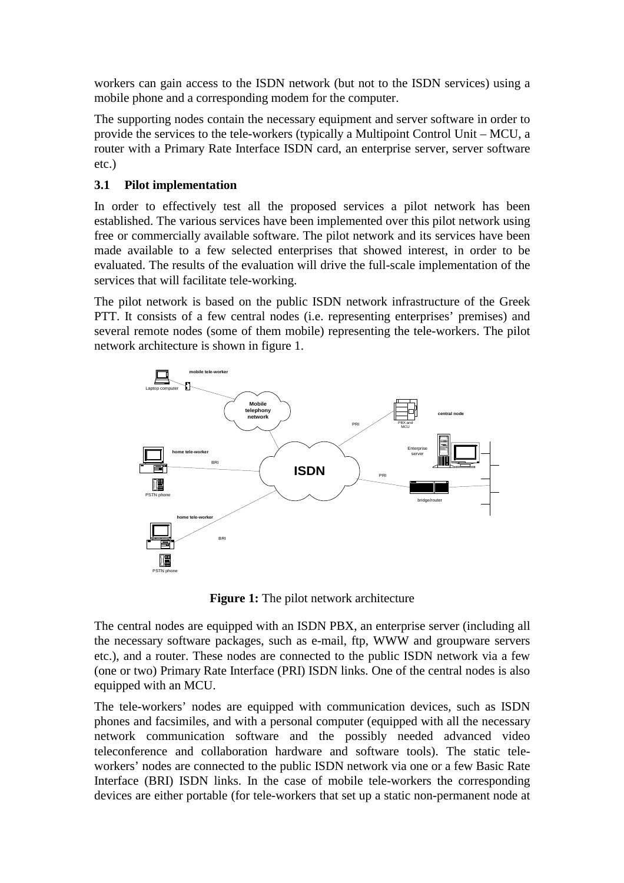workers can gain access to the ISDN network (but not to the ISDN services) using a mobile phone and a corresponding modem for the computer.

The supporting nodes contain the necessary equipment and server software in order to provide the services to the tele-workers (typically a Multipoint Control Unit – MCU, a router with a Primary Rate Interface ISDN card, an enterprise server, server software etc.)

#### **3.1 Pilot implementation**

In order to effectively test all the proposed services a pilot network has been established. The various services have been implemented over this pilot network using free or commercially available software. The pilot network and its services have been made available to a few selected enterprises that showed interest, in order to be evaluated. The results of the evaluation will drive the full-scale implementation of the services that will facilitate tele-working.

The pilot network is based on the public ISDN network infrastructure of the Greek PTT. It consists of a few central nodes (i.e. representing enterprises' premises) and several remote nodes (some of them mobile) representing the tele-workers. The pilot network architecture is shown in figure 1.



**Figure 1:** The pilot network architecture

The central nodes are equipped with an ISDN PBX, an enterprise server (including all the necessary software packages, such as e-mail, ftp, WWW and groupware servers etc.), and a router. These nodes are connected to the public ISDN network via a few (one or two) Primary Rate Interface (PRI) ISDN links. One of the central nodes is also equipped with an MCU.

The tele-workers' nodes are equipped with communication devices, such as ISDN phones and facsimiles, and with a personal computer (equipped with all the necessary network communication software and the possibly needed advanced video teleconference and collaboration hardware and software tools). The static teleworkers' nodes are connected to the public ISDN network via one or a few Basic Rate Interface (BRI) ISDN links. In the case of mobile tele-workers the corresponding devices are either portable (for tele-workers that set up a static non-permanent node at